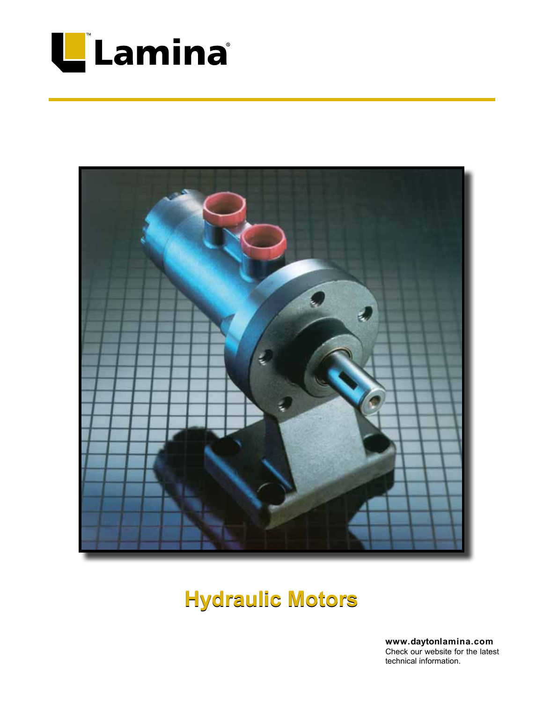



# **Hydraulic Motors**

**www.daytonlamina.com** Check our website for the latest technical information.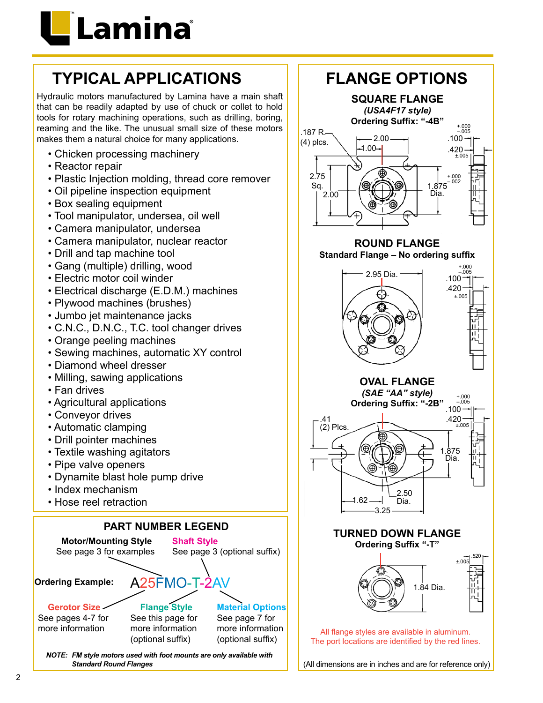

# **TYPICAL APPLICATIONS**

Hydraulic motors manufactured by Lamina have a main shaft that can be readily adapted by use of chuck or collet to hold tools for rotary machining operations, such as drilling, boring, reaming and the like. The unusual small size of these motors makes them a natural choice for many applications.

- Chicken processing machinery
- Reactor repair
- Plastic Injection molding, thread core remover
- Oil pipeline inspection equipment
- Box sealing equipment
- Tool manipulator, undersea, oil well
- Camera manipulator, undersea
- Camera manipulator, nuclear reactor
- Drill and tap machine tool
- Gang (multiple) drilling, wood
- Electric motor coil winder
- Electrical discharge (E.D.M.) machines
- Plywood machines (brushes)
- Jumbo jet maintenance jacks
- C.N.C., D.N.C., T.C. tool changer drives
- Orange peeling machines
- Sewing machines, automatic XY control
- Diamond wheel dresser
- Milling, sawing applications
- Fan drives
- Agricultural applications
- Conveyor drives
- Automatic clamping
- Drill pointer machines
- Textile washing agitators
- Pipe valve openers
- Dynamite blast hole pump drive
- Index mechanism
- Hose reel retraction



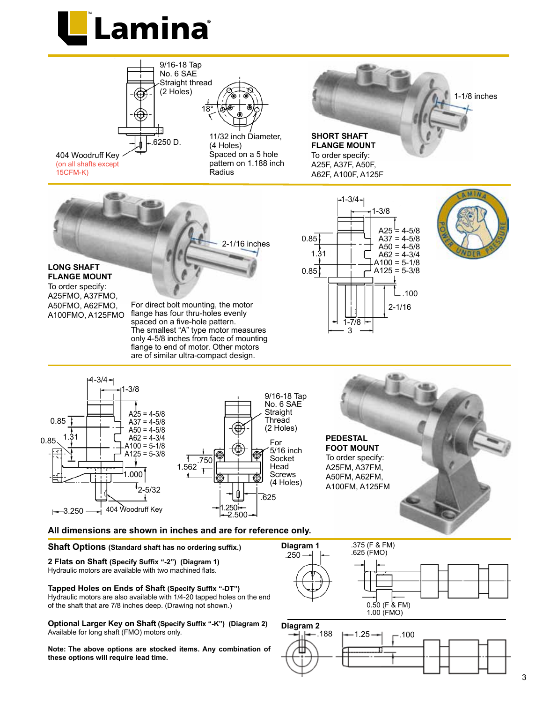







**Note: The above options are stocked items. Any combination of these options will require lead time.**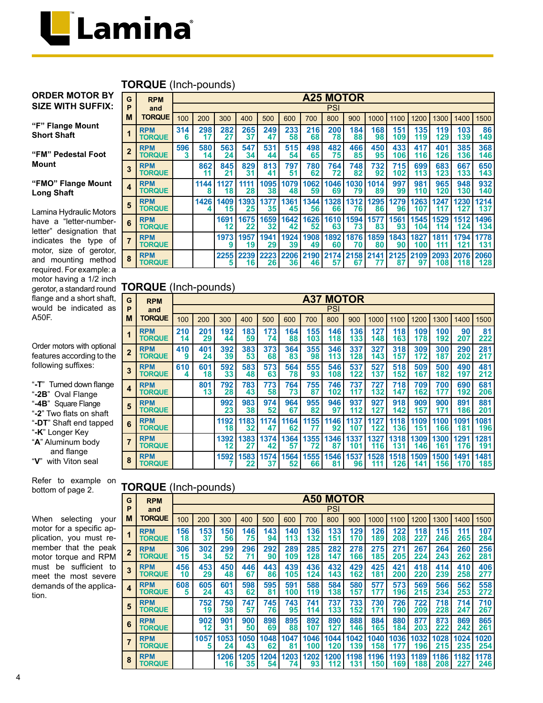

#### **TORQUE** (Inch-pounds)

#### **ORDER MOTOR BY SIZE WITH SUFFIX:**

#### **"F" Flange Mount Short Shaft**

**"FM" Pedestal Foot Mount**

#### **"FMO" Flange Mount Long Shaft**

Lamina Hydraulic Motors have a "letter-numberletter" designation that indicates the type of motor, size of gerotor, and mounting method required. For example: a motor having a 1/2 inch flange and a short shaft, would be indicated as A50F.

Order motors with optional features according to the following suffixes:

"**-T**" Turned down flange "**-2B**" Oval Flange "**-4B**" Square Flange "**-2**" Two flats on shaft "**-DT**" Shaft end tapped "**-K**" Longer Key "**A**" Aluminum body and flange "**V**" with Viton seal

Refer to example on bottom of page 2.

When selecting your motor for a specific application, you must remember that the peak motor torque and RPM must be sufficient to meet the most severe demands of the application.

| G                       | <b>RPM</b>                  |          |           |                 |            |            |            |            | <b>A25 MOTOR</b> |            |            |            |             |             |             |             |
|-------------------------|-----------------------------|----------|-----------|-----------------|------------|------------|------------|------------|------------------|------------|------------|------------|-------------|-------------|-------------|-------------|
| P                       | and                         |          |           |                 |            |            |            |            | <b>PSI</b>       |            |            |            |             |             |             |             |
| M                       | <b>TORQUE</b>               | 100      | 200       | 300             | 400        | 500        | 600        | 700        | 800              | 900        | 1000       | 1100       | 1200        | 1300        | 1400        | 1500        |
| 1                       | <b>RPM</b><br><b>TORQUE</b> | 314<br>6 | 298<br>17 | 282<br>27       | 265<br>37  | 249<br>47  | 233<br>58  | 216<br>68  | 200<br>78        | 184<br>88  | 168<br>98  | 151<br>109 | 135<br>119  | 119<br>129  | 103<br>139  | 86<br>149   |
| $\overline{2}$          | <b>RPM</b><br><b>TORQUE</b> | 596<br>3 | 580<br>14 | 563<br>24       | 547<br>34  | 531<br>44  | 515<br>54  | 498<br>65  | 482<br>75        | 466<br>85  | 450<br>95  | 433<br>106 | 417<br>116  | 401<br>126  | 385<br>136  | 368<br>146  |
| 3                       | <b>RPM</b><br><b>TORQUE</b> |          | 862<br>11 | 845<br>21       | 829<br>31  | 813<br>41  | 797<br>51  | 780<br>62  | 764<br>72        | 748<br>82  | 732<br>92  | 715<br>102 | 699<br>113  | 683<br>123  | 667<br>133  | 650<br>143  |
| $\overline{\mathbf{4}}$ | <b>RPM</b><br><b>TORQUE</b> |          | 1144<br>8 | 1127<br>18      | 1111<br>28 | 1095<br>38 | 1079<br>48 | 1062<br>59 | 1046<br>69       | 1030<br>79 | 1014<br>89 | 997<br>99  | 981<br>110  | 965<br>120  | 948<br>130  | 932<br>140  |
| 5                       | <b>RPM</b><br><b>TORQUE</b> |          | 1426      | 1409<br>15      | 1393<br>25 | 1377<br>35 | 1361<br>45 | 1344<br>56 | 1328<br>66       | 1312<br>76 | 1295<br>86 | 1279<br>96 | 1263<br>107 | 1247<br>117 | 1230<br>127 | 1214<br>137 |
| 6                       | <b>RPM</b><br><b>TORQUE</b> |          |           | 1691<br>$12 \,$ | 1675<br>22 | 1659<br>32 | 1642<br>42 | 1626<br>52 | 1610<br>63       | 1594<br>73 | 1577<br>83 | 1561<br>93 | 1545<br>104 | 1529<br>114 | 1512<br>124 | 1496<br>134 |
| 7                       | <b>RPM</b><br><b>TORQUE</b> |          |           | 1973<br>9       | 1957<br>19 | 1941<br>29 | 1924<br>39 | 1908<br>49 | 1892<br>60       | 1876<br>70 | 1859<br>80 | 1843<br>90 | 1827<br>100 | 1811<br>111 | 1794<br>121 | 1778<br>131 |
| 8                       | <b>RPM</b><br><b>TORQUE</b> |          |           | 2255<br>5       | 2239<br>16 | 2223<br>26 | 2206<br>36 | 2190<br>46 | 2174<br>57       | 2158<br>67 | 2141<br>77 | 2125<br>87 | 2109<br>97  | 2093<br>108 | 2076<br>118 | 2060<br>128 |

## gerotor, a standard round **TORQUE** (Inch-pounds)

| G                | <b>RPM</b>                  |           |           |            |            |            |            |            | <b>A37 MOTOR</b> |             |             |             |             |             |             |             |
|------------------|-----------------------------|-----------|-----------|------------|------------|------------|------------|------------|------------------|-------------|-------------|-------------|-------------|-------------|-------------|-------------|
| P                | and                         |           |           |            |            |            |            |            | PSI              |             |             |             |             |             |             |             |
| М                | <b>TORQUE</b>               | 100       | 200       | 300        | 400        | 500        | 600        | 700        | 800              | 900         | 1000        | 1100        | 1200        | 1300        | 1400        | 1500        |
|                  | <b>RPM</b><br><b>TORQUE</b> | 210<br>14 | 201<br>29 | 192<br>44  | 183<br>59  | 173<br>74  | 164<br>88  | 155<br>103 | 146<br>118       | 136<br>133  | 127<br>148  | 118<br>163  | 109<br>178  | 100<br>192  | 90<br>207   | 81<br>222   |
| $\overline{2}$   | <b>RPM</b><br><b>TORQUE</b> | 410<br>9  | 401<br>24 | 392<br>39  | 383<br>53  | 373<br>68  | 364<br>83  | 355<br>98  | 346<br>113       | 337<br>128  | 327<br>143  | 318<br>157  | 309<br>172  | 300<br>187  | 290<br>202  | 281<br>217  |
| 3                | <b>RPM</b><br><b>TORQUE</b> | 610<br>4  | 601<br>18 | 592<br>33  | 583<br>48  | 573<br>63  | 564<br>78  | 555<br>93  | 546<br>108       | 537<br>122  | 527<br>137  | 518<br>152  | 509<br>167  | 500<br>182  | 490<br>197  | 481<br>212  |
| $\boldsymbol{4}$ | <b>RPM</b><br><b>TORQUE</b> |           | 801<br>13 | 792<br>28  | 783<br>43  | 773<br>58  | 764<br>73  | 755<br>87  | 746<br>102       | 737<br>117  | 727<br>132  | 718<br>147  | 709<br>162  | 700<br>177  | 690<br>192  | 681<br>206  |
| 5                | <b>RPM</b><br><b>TORQUE</b> |           |           | 992<br>23  | 983<br>38  | 974<br>52  | 964<br>67  | 955<br>82  | 946<br>97        | 937<br>112  | 927<br>127  | 918<br>142  | 909<br>157  | 900<br>171  | 891<br>186  | 881<br>201  |
| 6                | <b>RPM</b><br><b>TORQUE</b> |           |           | 1192<br>18 | 1183<br>32 | 1174<br>47 | 1164<br>62 | 1155<br>77 | 1146<br>92       | 1137<br>107 | 1127<br>122 | 1118<br>136 | 1109<br>151 | 1100<br>166 | 1091<br>181 | 1081<br>196 |
|                  | <b>RPM</b><br><b>TORQUE</b> |           |           | 1392<br>12 | 1383<br>27 | 1374<br>42 | 1364<br>57 | 1355<br>72 | 1346<br>87       | 1337<br>101 | 1327<br>116 | 1318<br>131 | 1309<br>146 | 1300<br>161 | 1291<br>176 | 1281<br>191 |
| 8                | <b>RPM</b><br><b>TORQUE</b> |           |           | 1592       | 1583<br>22 | 1574<br>37 | 1564<br>52 | 1555<br>66 | 1546<br>81       | 1537<br>96  | 1528<br>111 | 1518<br>126 | 1509<br>141 | 1500<br>156 | 1491<br>170 | 1481<br>185 |

### **TORQUE** (Inch-pounds)

| G              | <b>RPM</b>                  |           |           |            |            |            |            |             | <b>A50 MOTOR</b> |             |             |             |             |             |             |             |
|----------------|-----------------------------|-----------|-----------|------------|------------|------------|------------|-------------|------------------|-------------|-------------|-------------|-------------|-------------|-------------|-------------|
| P              | and                         |           |           |            |            |            |            |             | <b>PSI</b>       |             |             |             |             |             |             |             |
| M              | <b>TORQUE</b>               | 100       | 200       | 300        | 400        | 500        | 600        | 700         | 800              | 900         | 1000        | 1100        | 1200        | 1300        | 1400        | 1500        |
| 1              | <b>RPM</b><br><b>TORQUE</b> | 156<br>18 | 153<br>37 | 150<br>56  | 146<br>75  | 143<br>94  | 140<br>113 | 136<br>132  | 133<br>151       | 129<br>170  | 126<br>189  | 122<br>208  | 118<br>227  | 115<br>246  | 111<br>265  | 107<br>284  |
| $\overline{2}$ | <b>RPM</b><br><b>TORQUE</b> | 306<br>15 | 302<br>34 | 299<br>52  | 296<br>71  | 292<br>90  | 289<br>109 | 285<br>128  | 282<br>147       | 278<br>166  | 275<br>185  | 271<br>205  | 267<br>224  | 264<br>243  | 260<br>262  | 256<br>281  |
| 3              | <b>RPM</b><br><b>TORQUE</b> | 456<br>10 | 453<br>29 | 450<br>48  | 446<br>67  | 443<br>86  | 439<br>105 | 436<br>124  | 432<br>143       | 429<br>162  | 425<br>181  | 421<br>200  | 418<br>220  | 414<br>239  | 410<br>258  | 406<br>277  |
| 4              | <b>RPM</b><br><b>TORQUE</b> | 608<br>5  | 605<br>24 | 601<br>43  | 598<br>62  | 595<br>81  | 591<br>100 | 588<br>119  | 584<br>138       | 580<br>157  | 577<br>177  | 573<br>196  | 569<br>215  | 566<br>234  | 562<br>253  | 558<br>272  |
| 5              | <b>RPM</b><br><b>TORQUE</b> |           | 752<br>19 | 750<br>38  | 747<br>57  | 745<br>76  | 743<br>95  | 741<br>114  | 737<br>133       | 733<br>152  | 730<br>171  | 726<br>190  | 722<br>209  | 718<br>228  | 714<br>247  | 710<br>267  |
| 6              | <b>RPM</b><br><b>TORQUE</b> |           | 902<br>12 | 901<br>31  | 900<br>50  | 898<br>69  | 895<br>88  | 892<br>107  | 890<br>127       | 888<br>146  | 884<br>165  | 880<br>184  | 877<br>203  | 873<br>222  | 869<br>242  | 865<br>261  |
| $\overline{7}$ | <b>RPM</b><br><b>TORQUE</b> |           | 1057<br>5 | 1053<br>24 | 1050<br>43 | 1048<br>62 | 1047<br>81 | 1046<br>100 | 1044<br>120      | 1042<br>139 | 1040<br>158 | 1036<br>177 | 1032<br>196 | 1028<br>215 | 1024<br>235 | 1020<br>254 |
| 8              | <b>RPM</b><br><b>TORQUE</b> |           |           | 1206<br>16 | 1205<br>35 | 1204<br>54 | 1203<br>74 | 1202<br>93  | 1200<br>112      | 1198<br>131 | 1196<br>150 | 1193<br>169 | 1189<br>188 | 1186<br>208 | 1182<br>227 | 1178<br>246 |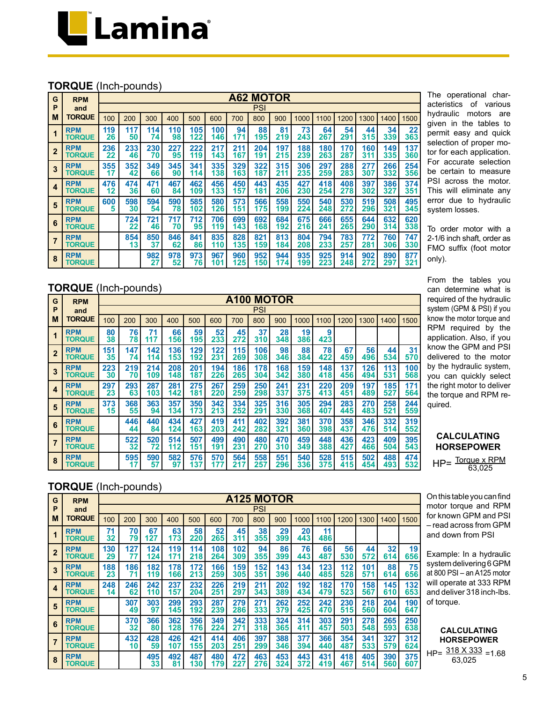

#### **TORQUE** (Inch-pounds)

| G              | <b>RPM</b>                  |           | <b>A62 MOTOR</b> |           |           |            |            |            |            |            |            |            |            |            |            |            |
|----------------|-----------------------------|-----------|------------------|-----------|-----------|------------|------------|------------|------------|------------|------------|------------|------------|------------|------------|------------|
| P              | and                         |           |                  |           |           |            |            |            | PSI        |            |            |            |            |            |            |            |
| M              | <b>TORQUE</b>               | 100       | 200              | 300       | 400       | 500        | 600        | 700        | 800        | 900        | 1000       | 1100       | 1200       | 1300       | 1400       | 1500       |
|                | <b>RPM</b><br><b>TORQUE</b> | 119<br>26 | 117<br>50        | 114<br>74 | 110<br>98 | 105<br>122 | 100<br>146 | 94<br>171  | 88<br>195  | 81<br>219  | 73<br>243  | 64<br>267  | 54<br>291  | 44<br>315  | 34<br>339  | 22<br>363  |
| $\overline{2}$ | <b>RPM</b><br><b>TORQUE</b> | 236<br>22 | 233<br>46        | 230<br>70 | 227<br>95 | 222<br>119 | 217<br>143 | 211<br>167 | 204<br>191 | 197<br>215 | 188<br>239 | 180<br>263 | 170<br>287 | 160<br>311 | 149<br>335 | 137<br>360 |
| 3              | <b>RPM</b><br><b>TORQUE</b> | 355<br>17 | 352<br>42        | 349<br>66 | 345<br>90 | 341<br>114 | 335<br>138 | 329<br>163 | 322<br>187 | 315<br>211 | 306<br>235 | 297<br>259 | 288<br>283 | 277<br>307 | 266<br>332 | 254<br>356 |
| 4              | <b>RPM</b><br><b>TORQUE</b> | 476<br>12 | 474<br>36        | 471<br>60 | 467<br>84 | 462<br>109 | 456<br>133 | 450<br>157 | 443<br>181 | 435<br>206 | 427<br>230 | 418<br>254 | 408<br>278 | 397<br>302 | 386<br>327 | 374<br>351 |
| 5              | <b>RPM</b><br><b>TORQUE</b> | 600<br>5  | 598<br>30        | 594<br>54 | 590<br>78 | 585<br>102 | 580<br>126 | 573<br>151 | 566<br>175 | 558<br>199 | 550<br>224 | 540<br>248 | 530<br>272 | 519<br>296 | 508<br>321 | 495<br>345 |
| 6              | <b>RPM</b><br><b>TORQUE</b> |           | 724<br>22        | 721<br>46 | 717<br>70 | 712<br>95  | 706<br>119 | 699<br>143 | 692<br>168 | 684<br>192 | 675<br>216 | 666<br>241 | 655<br>265 | 644<br>290 | 632<br>314 | 620<br>338 |
| 7              | <b>RPM</b><br><b>TORQUE</b> |           | 854<br>13        | 850<br>37 | 846<br>62 | 841<br>86  | 835<br>110 | 828<br>135 | 821<br>159 | 813<br>184 | 804<br>208 | 794<br>233 | 783<br>257 | 772<br>281 | 760<br>306 | 747<br>330 |
| 8              | <b>RPM</b><br><b>TORQUE</b> |           |                  | 982<br>27 | 978<br>52 | 973<br>76  | 967<br>101 | 960<br>125 | 952<br>150 | 944<br>174 | 935<br>199 | 925<br>223 | 914<br>248 | 902<br>272 | 890<br>297 | 877<br>321 |

**TORQUE** (Inch-pounds)

| G                       | <b>RPM</b>                  |           | <b>A100 MOTOR</b> |            |            |            |            |            |            |            |            |            |            |            |            |            |
|-------------------------|-----------------------------|-----------|-------------------|------------|------------|------------|------------|------------|------------|------------|------------|------------|------------|------------|------------|------------|
| P                       | and                         |           |                   |            |            |            |            |            | PSI        |            |            |            |            |            |            |            |
| M                       | TORQUE                      | 100       | 200               | 300        | 400        | 500        | 600        | 700        | 800        | 900        | 1000       | 1100       | 1200       | 1300       | 1400       | 1500       |
| $\overline{\mathbf{1}}$ | <b>RPM</b><br><b>TORQUE</b> | 80<br>38  | 76<br>78          | 71<br>117  | 66<br>156  | 59<br>195  | 52<br>233  | 45<br>272  | 37<br>310  | 28<br>348  | 19<br>386  | 9<br>423   |            |            |            |            |
| $\overline{\mathbf{2}}$ | <b>RPM</b><br><b>TORQUE</b> | 151<br>35 | 147<br>74         | 142<br>114 | 136<br>153 | 129<br>192 | 122<br>231 | 115<br>269 | 106<br>308 | 98<br>346  | 88<br>384  | 78<br>422  | 67<br>459  | 56<br>496  | 44<br>534  | 31<br>570  |
| $\mathbf{3}$            | <b>RPM</b><br><b>TORQUE</b> | 223<br>30 | 219<br>70         | 214<br>109 | 208<br>148 | 201<br>187 | 194<br>226 | 186<br>265 | 178<br>304 | 168<br>342 | 159<br>380 | 148<br>418 | 137<br>456 | 126<br>494 | 113<br>531 | 100<br>568 |
| $\overline{\mathbf{4}}$ | <b>RPM</b><br><b>TORQUE</b> | 297<br>23 | 293<br>63         | 287<br>103 | 281<br>142 | 275<br>181 | 267<br>220 | 259<br>259 | 250<br>298 | 241<br>337 | 231<br>375 | 220<br>413 | 209<br>451 | 197<br>489 | 185<br>527 | 171<br>564 |
| 5                       | <b>RPM</b><br><b>TORQUE</b> | 373<br>15 | 368<br>55         | 363<br>94  | 357<br>134 | 350<br>173 | 342<br>213 | 334<br>252 | 325<br>291 | 316<br>330 | 305<br>368 | 294<br>407 | 283<br>445 | 270<br>483 | 258<br>521 | 244<br>559 |
| 6                       | <b>RPM</b><br><b>TORQUE</b> |           | 446<br>44         | 440<br>84  | 434<br>124 | 427<br>163 | 419<br>203 | 411<br>242 | 402<br>282 | 392<br>321 | 381<br>360 | 370<br>398 | 358<br>437 | 346<br>476 | 332<br>514 | 319<br>552 |
| $\overline{7}$          | <b>RPM</b><br><b>TORQUE</b> |           | 522<br>32         | 520<br>72  | 514<br>112 | 507<br>151 | 499<br>191 | 490<br>231 | 480<br>270 | 470<br>310 | 459<br>349 | 448<br>388 | 436<br>427 | 423<br>466 | 409<br>504 | 395<br>543 |
| 8                       | <b>RPM</b><br><b>TORQUE</b> |           | 595<br>17         | 590<br>57  | 582<br>97  | 576<br>137 | 570<br>177 | 564<br>21  | 558<br>257 | 551<br>296 | 540<br>336 | 528<br>375 | 515<br>415 | 502<br>454 | 488<br>493 | 474<br>532 |

The operational characteristics of various hydraulic motors are given in the tables to permit easy and quick selection of proper motor for each application. For accurate selection be certain to measure PSI across the motor. This will eliminate any error due to hydraulic system losses.

To order motor with a 2-1/6 inch shaft, order as FMO suffix (foot motor only).

From the tables you can determine what is required of the hydraulic system (GPM & PSI) if you know the motor torque and RPM required by the application. Also, if you know the GPM and PSI delivered to the motor by the hydraulic system, you can quickly select the right motor to deliver the torque and RPM required.

#### **CALCULATING HORSEPOWER**

HP= Torque x RPM 63,025

**TORQUE** (Inch-pounds)

| G              | <b>RPM</b>                  |           | <b>A125 MOTOR</b> |            |            |            |            |            |            |            |            |            |            |            |            |            |
|----------------|-----------------------------|-----------|-------------------|------------|------------|------------|------------|------------|------------|------------|------------|------------|------------|------------|------------|------------|
| P              | and                         |           |                   |            |            |            |            |            | PSI        |            |            |            |            |            |            |            |
| м              | <b>TORQUE</b>               | 100       | 200               | 300        | 400        | 500        | 600        | 700        | 800        | 900        | 1000       | 1100       | 1200       | 1300       | 1400       | 1500       |
|                | <b>RPM</b><br><b>TORQUE</b> | 71<br>32  | 70<br>79          | 67<br>127  | 63<br>173  | 58<br>220  | 52<br>265  | 45<br>311  | 38<br>355  | 29<br>399  | 20<br>443  | 11<br>486  |            |            |            |            |
| $\overline{2}$ | <b>RPM</b><br><b>TORQUE</b> | 130<br>29 | 127<br>77         | 124<br>124 | 119<br>171 | 114<br>218 | 108<br>264 | 102<br>309 | 94<br>355  | 86<br>399  | 76<br>443  | 66<br>487  | 56<br>530  | 44<br>572  | 32<br>614  | 19<br>656  |
| 3              | <b>RPM</b><br><b>TORQUE</b> | 188<br>23 | 186<br>71         | 182<br>119 | 178<br>166 | 172<br>213 | 166<br>259 | 159<br>305 | 152<br>351 | 143<br>396 | 134<br>440 | 123<br>485 | 112<br>528 | 101<br>571 | 88<br>614  | 75<br>656  |
| 4              | <b>RPM</b><br><b>TORQUE</b> | 248<br>14 | 246<br>62         | 242<br>110 | 237<br>157 | 232<br>204 | 226<br>251 | 219<br>297 | 211<br>343 | 202<br>389 | 192<br>434 | 182<br>479 | 170<br>523 | 158<br>567 | 145<br>610 | 132<br>653 |
| 5              | <b>RPM</b><br><b>TORQUE</b> |           | 307<br>49         | 303<br>97  | 299<br>145 | 293<br>192 | 287<br>239 | 279<br>286 | 271<br>333 | 262<br>379 | 252<br>425 | 242<br>470 | 230<br>515 | 218<br>560 | 204<br>604 | 190<br>647 |
| 6              | <b>RPM</b><br><b>TORQUE</b> |           | 370<br>32         | 366<br>80  | 362<br>128 | 356<br>176 | 349<br>224 | 342<br>271 | 333<br>318 | 324<br>365 | 314<br>411 | 303<br>457 | 291<br>503 | 278<br>548 | 265<br>593 | 250<br>638 |
|                | <b>RPM</b><br><b>TORQUE</b> |           | 432<br>10         | 428<br>59  | 426<br>107 | 421<br>155 | 414<br>203 | 406<br>251 | 397<br>299 | 388<br>346 | 377<br>394 | 366<br>440 | 354<br>487 | 341<br>533 | 327<br>579 | 312<br>624 |
| 8              | <b>RPM</b><br><b>TORQUE</b> |           |                   | 495<br>33  | 492<br>81  | 487<br>130 | 480<br>179 | 472<br>227 | 463<br>276 | 453<br>324 | 443<br>372 | 431<br>419 | 418<br>467 | 405<br>514 | 390<br>560 | 375<br>607 |

On this table you can find motor torque and RPM for known GPM and PSI – read across from GPM and down from PSI

Example: In a hydraulic system delivering 6 GPM at 800 PSI – an A125 motor will operate at 333 RPM and deliver 318 inch-lbs. of torque.

**CALCULATING HORSEPOWER** HP=  $\frac{318 \times 333}{2225}$  =1.68 63,025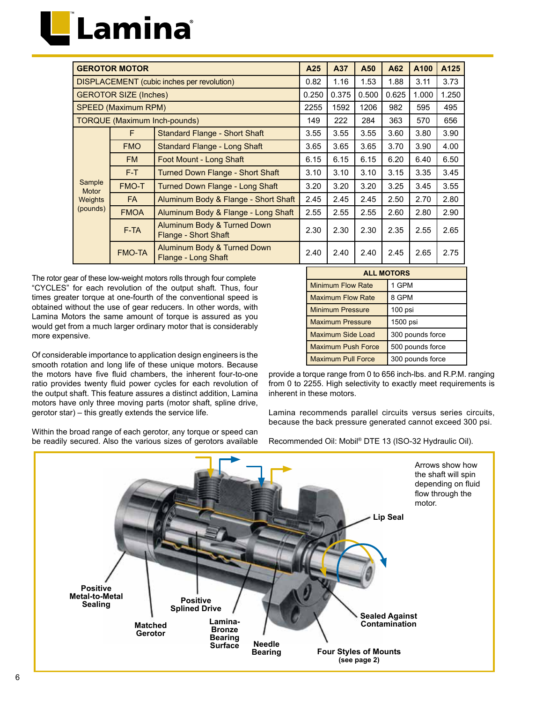|                 | <b>GEROTOR MOTOR</b>         |                                                            | A25   | A37   | A50   | A62   | A100  | A125  |
|-----------------|------------------------------|------------------------------------------------------------|-------|-------|-------|-------|-------|-------|
|                 |                              | <b>DISPLACEMENT</b> (cubic inches per revolution)          | 0.82  | 1.16  | 1.53  | 1.88  | 3.11  | 3.73  |
|                 | <b>GEROTOR SIZE (Inches)</b> |                                                            | 0.250 | 0.375 | 0.500 | 0.625 | 1.000 | 1.250 |
|                 | <b>SPEED (Maximum RPM)</b>   |                                                            | 2255  | 1592  | 1206  | 982   | 595   | 495   |
|                 |                              | <b>TORQUE (Maximum Inch-pounds)</b>                        | 149   | 222   | 284   | 363   | 570   | 656   |
|                 | F                            | <b>Standard Flange - Short Shaft</b>                       | 3.55  | 3.55  | 3.55  | 3.60  | 3.80  | 3.90  |
|                 | <b>FMO</b>                   | Standard Flange - Long Shaft                               | 3.65  | 3.65  | 3.65  | 3.70  | 3.90  | 4.00  |
|                 | <b>FM</b>                    | Foot Mount - Long Shaft                                    | 6.15  | 6.15  | 6.15  | 6.20  | 6.40  | 6.50  |
|                 | $F-T$                        | Turned Down Flange - Short Shaft                           | 3.10  | 3.10  | 3.10  | 3.15  | 3.35  | 3.45  |
| Sample<br>Motor | <b>FMO-T</b>                 | Turned Down Flange - Long Shaft                            | 3.20  | 3.20  | 3.20  | 3.25  | 3.45  | 3.55  |
| <b>Weights</b>  | <b>FA</b>                    | Aluminum Body & Flange - Short Shaft                       | 2.45  | 2.45  | 2.45  | 2.50  | 2.70  | 2.80  |
| (pounds)        | <b>FMOA</b>                  | Aluminum Body & Flange - Long Shaft                        | 2.55  | 2.55  | 2.55  | 2.60  | 2.80  | 2.90  |
|                 | F-TA                         | Aluminum Body & Turned Down<br><b>Flange - Short Shaft</b> | 2.30  | 2.30  | 2.30  | 2.35  | 2.55  | 2.65  |
|                 | <b>FMO-TA</b>                | Aluminum Body & Turned Down<br>Flange - Long Shaft         | 2.40  | 2.40  | 2.40  | 2.45  | 2.65  | 2.75  |

The rotor gear of these low-weight motors rolls through four complete "CYCLES" for each revolution of the output shaft. Thus, four times greater torque at one-fourth of the conventional speed is obtained without the use of gear reducers. In other words, with Lamina Motors the same amount of torque is assured as you would get from a much larger ordinary motor that is considerably more expensive.

Of considerable importance to application design engineers is the smooth rotation and long life of these unique motors. Because the motors have five fluid chambers, the inherent four-to-one ratio provides twenty fluid power cycles for each revolution of the output shaft. This feature assures a distinct addition, Lamina motors have only three moving parts (motor shaft, spline drive, gerotor star) – this greatly extends the service life.

Within the broad range of each gerotor, any torque or speed can be readily secured. Also the various sizes of gerotors available

| <b>ALL MOTORS</b>         |                  |
|---------------------------|------------------|
| <b>Minimum Flow Rate</b>  | 1 GPM            |
| <b>Maximum Flow Rate</b>  | 8 GPM            |
| <b>Minimum Pressure</b>   | $100$ psi        |
| <b>Maximum Pressure</b>   | 1500 psi         |
| Maximum Side Load         | 300 pounds force |
| <b>Maximum Push Force</b> | 500 pounds force |
| <b>Maximum Pull Force</b> | 300 pounds force |

provide a torque range from 0 to 656 inch-lbs. and R.P.M. ranging from 0 to 2255. High selectivity to exactly meet requirements is inherent in these motors.

Lamina recommends parallel circuits versus series circuits, because the back pressure generated cannot exceed 300 psi.

Recommended Oil: Mobil® DTE 13 (ISO-32 Hydraulic Oil).

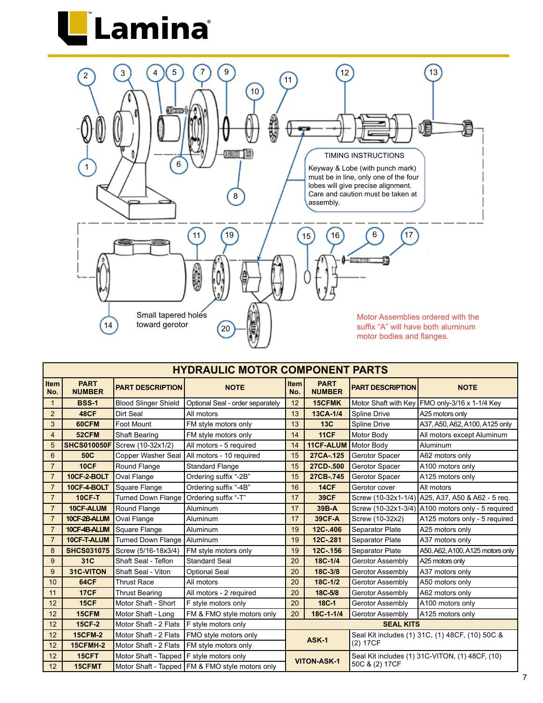



|                    | <b>HYDRAULIC MOTOR COMPONENT PARTS</b> |                                            |                                                   |                                                                       |                              |                                                 |                                                     |  |  |  |  |  |  |
|--------------------|----------------------------------------|--------------------------------------------|---------------------------------------------------|-----------------------------------------------------------------------|------------------------------|-------------------------------------------------|-----------------------------------------------------|--|--|--|--|--|--|
| <b>Item</b><br>No. | <b>PART</b><br><b>NUMBER</b>           | <b>PART DESCRIPTION</b>                    | <b>NOTE</b>                                       | <b>Item</b><br>No.                                                    | <b>PART</b><br><b>NUMBER</b> | <b>PART DESCRIPTION</b>                         | <b>NOTE</b>                                         |  |  |  |  |  |  |
| $\mathbf{1}$       | <b>BSS-1</b>                           | <b>Blood Slinger Shield</b>                | Optional Seal - order separately                  | 12                                                                    | <b>15CFMK</b>                |                                                 | Motor Shaft with Key   FMO only-3/16 x 1-1/4 Key    |  |  |  |  |  |  |
| $\overline{2}$     | <b>48CF</b>                            | Dirt Seal                                  | All motors                                        | 13                                                                    | 13CA-1/4                     | Spline Drive                                    | A25 motors only                                     |  |  |  |  |  |  |
| 3                  | 60CFM                                  | Foot Mount                                 | FM style motors only                              | 13                                                                    | 13C                          | Spline Drive                                    | A37, A50, A62, A100, A125 only                      |  |  |  |  |  |  |
| 4                  | 52CFM                                  | Shaft Bearing                              | FM style motors only                              | 14                                                                    | <b>11CF</b>                  | Motor Body                                      | All motors except Aluminum                          |  |  |  |  |  |  |
| 5                  | <b>SHCS010050F</b>                     | Screw (10-32x1/2)                          | All motors - 5 required                           | 14                                                                    | 11CF-ALUM                    | Motor Body                                      | Aluminum                                            |  |  |  |  |  |  |
| 6                  | 50C                                    | Copper Washer Seal                         | All motors - 10 required                          | 15                                                                    | 27CA-.125                    | Gerotor Spacer                                  | A62 motors only                                     |  |  |  |  |  |  |
| $\overline{7}$     | <b>10CF</b>                            | Round Flange                               | <b>Standard Flange</b>                            | 15                                                                    | 27CD-.500                    | Gerotor Spacer                                  | A100 motors only                                    |  |  |  |  |  |  |
| $\overline{7}$     | 10CF-2-BOLT                            | Oval Flange                                | Ordering suffix "-2B"                             | 15                                                                    | 27CB-.745                    | Gerotor Spacer                                  | A125 motors only                                    |  |  |  |  |  |  |
| $\overline{7}$     | 10CF-4-BOLT                            | Square Flange                              | Ordering suffix "-4B"                             | 16                                                                    | <b>14CF</b>                  | Gerotor cover                                   | All motors                                          |  |  |  |  |  |  |
| $\overline{7}$     | <b>10CF-T</b>                          | <b>Turned Down Flange</b>                  | Ordering suffix "-T"                              | 17                                                                    | <b>39CF</b>                  |                                                 | Screw (10-32x1-1/4) A25, A37, A50 & A62 - 5 reg.    |  |  |  |  |  |  |
| $\overline{7}$     | 10CF-ALUM                              | Round Flange                               | Aluminum                                          | 17                                                                    | 39B-A                        |                                                 | Screw $(10-32x1-3/4)$ A100 motors only - 5 required |  |  |  |  |  |  |
| $\overline{7}$     | 10CF-2B-ALUM                           | Oval Flange                                | Aluminum                                          | 17                                                                    | <b>39CF-A</b>                | Screw (10-32x2)                                 | A125 motors only - 5 required                       |  |  |  |  |  |  |
| $\overline{7}$     | 10CF-4B-ALUM                           | Square Flange                              | Aluminum                                          | 19                                                                    | 12C-.406                     | Separator Plate                                 | A25 motors only                                     |  |  |  |  |  |  |
| $\overline{7}$     | 10CF-T-ALUM                            | <b>Turned Down Flange</b>                  | Aluminum                                          | 19                                                                    | 12C-.281                     | Separator Plate                                 | A37 motors only                                     |  |  |  |  |  |  |
| 8                  | <b>SHCS031075</b>                      | Screw (5/16-18x3/4)                        | FM style motors only                              | 19                                                                    | 12C-.156                     | Separator Plate                                 | A50, A62, A100, A125 motors only                    |  |  |  |  |  |  |
| 9                  | 31C                                    | Shaft Seal - Teflon                        | <b>Standard Seal</b>                              | 20                                                                    | 18C-1/4                      | Gerotor Assembly                                | A25 motors only                                     |  |  |  |  |  |  |
| 9                  | 31C-VITON                              | Shaft Seal - Viton                         | <b>Optional Seal</b>                              | 20                                                                    | 18C-3/8                      | Gerotor Assembly                                | A37 motors only                                     |  |  |  |  |  |  |
| 10                 | 64CF                                   | <b>Thrust Race</b>                         | All motors                                        | 20                                                                    | 18C-1/2                      | Gerotor Assembly                                | A50 motors only                                     |  |  |  |  |  |  |
| 11                 | <b>17CF</b>                            | <b>Thrust Bearing</b>                      | All motors - 2 required                           | 20                                                                    | 18C-5/8                      | Gerotor Assembly                                | A62 motors only                                     |  |  |  |  |  |  |
| 12                 | <b>15CF</b>                            | Motor Shaft - Short                        | F style motors only                               | 20                                                                    | 18C-1                        | Gerotor Assembly                                | A100 motors only                                    |  |  |  |  |  |  |
| 12                 | 15CFM                                  | Motor Shaft - Long                         | FM & FMO style motors only                        | 20                                                                    | 18C-1-1/4                    | Gerotor Assembly                                | A125 motors only                                    |  |  |  |  |  |  |
| 12                 | <b>15CF-2</b>                          | Motor Shaft - 2 Flats                      | F style motors only                               |                                                                       |                              | <b>SEAL KITS</b>                                |                                                     |  |  |  |  |  |  |
| 12                 | <b>15CFM-2</b>                         | Motor Shaft - 2 Flats                      | FMO style motors only                             |                                                                       | ASK-1                        | Seal Kit includes (1) 31C, (1) 48CF, (10) 50C & |                                                     |  |  |  |  |  |  |
| 12                 | <b>15CFMH-2</b>                        | Motor Shaft - 2 Flats                      | FM style motors only                              |                                                                       |                              | (2) 17CF                                        |                                                     |  |  |  |  |  |  |
| 12                 | 15CFT                                  | Motor Shaft - Tapped   F style motors only |                                                   | Seal Kit includes (1) 31C-VITON, (1) 48CF, (10)<br><b>VITON-ASK-1</b> |                              |                                                 |                                                     |  |  |  |  |  |  |
| 12                 | <b>15CFMT</b>                          |                                            | Motor Shaft - Tapped   FM & FMO style motors only | 50C & (2) 17CF                                                        |                              |                                                 |                                                     |  |  |  |  |  |  |